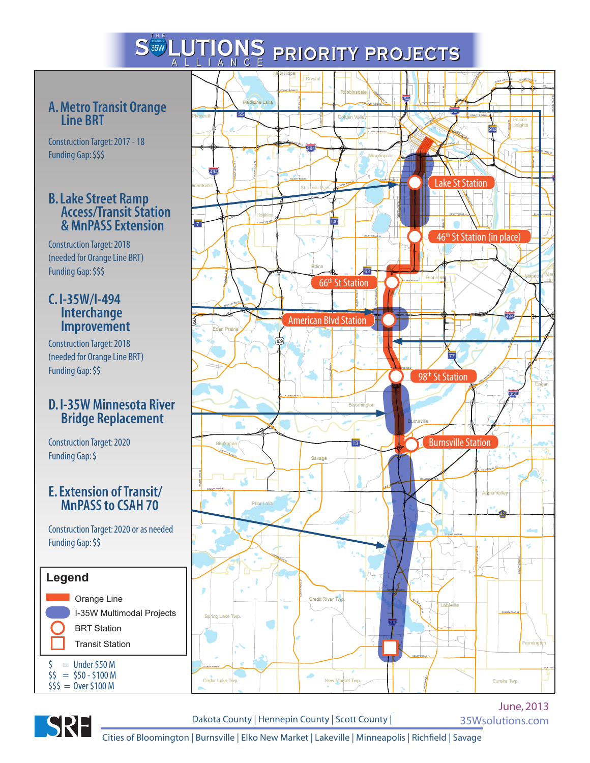# **PRIORITY PROJECTS**

### **A. Metro Transit Orange Line BRT**

Construction Target: 2017 - 18 Funding Gap: \$\$\$

#### **B. Lake Street Ramp Access/Transit Station & MnPASS Extension**

Construction Target: 2018 (needed for Orange Line BRT) Funding Gap: \$\$\$

#### **C. I-35W/I-494 Interchange Improvement**

Construction Target: 2018 (needed for Orange Line BRT) Funding Gap: \$\$

### **D. I-35W Minnesota River Bridge Replacement**

Construction Target: 2020 Funding Gap: \$

#### **E. Extension of Transit/ MnPASS to CSAH 70**

Construction Target: 2020 or as needed Funding Gap: \$\$







Dakota County | Hennepin County | Scott County |

June, 2013 35Wsolutions.com

Cities of Bloomington | Burnsville | Elko New Market | Lakeville | Minneapolis | Richfield | Savage